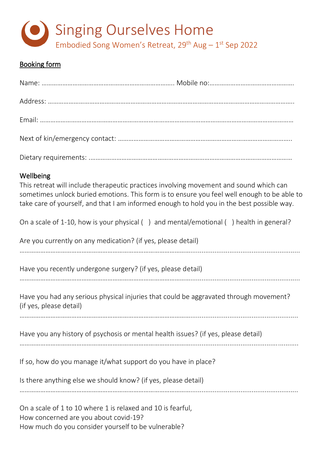

## Booking form

| Wellbeing<br>This retreat will include therapeutic practices involving movement and sound which can<br>sometimes unlock buried emotions. This form is to ensure you feel well enough to be able to<br>take care of yourself, and that I am informed enough to hold you in the best possible way. |
|--------------------------------------------------------------------------------------------------------------------------------------------------------------------------------------------------------------------------------------------------------------------------------------------------|
| On a scale of 1-10, how is your physical () and mental/emotional () health in general?                                                                                                                                                                                                           |
| Are you currently on any medication? (if yes, please detail)                                                                                                                                                                                                                                     |
| Have you recently undergone surgery? (if yes, please detail)                                                                                                                                                                                                                                     |
| Have you had any serious physical injuries that could be aggravated through movement?<br>(if yes, please detail)                                                                                                                                                                                 |
| Have you any history of psychosis or mental health issues? (if yes, please detail)                                                                                                                                                                                                               |
| If so, how do you manage it/what support do you have in place?                                                                                                                                                                                                                                   |
| Is there anything else we should know? (if yes, please detail)                                                                                                                                                                                                                                   |

………………………………………………………………………………………..........................................................

On a scale of 1 to 10 where 1 is relaxed and 10 is fearful, How concerned are you about covid-19? How much do you consider yourself to be vulnerable?